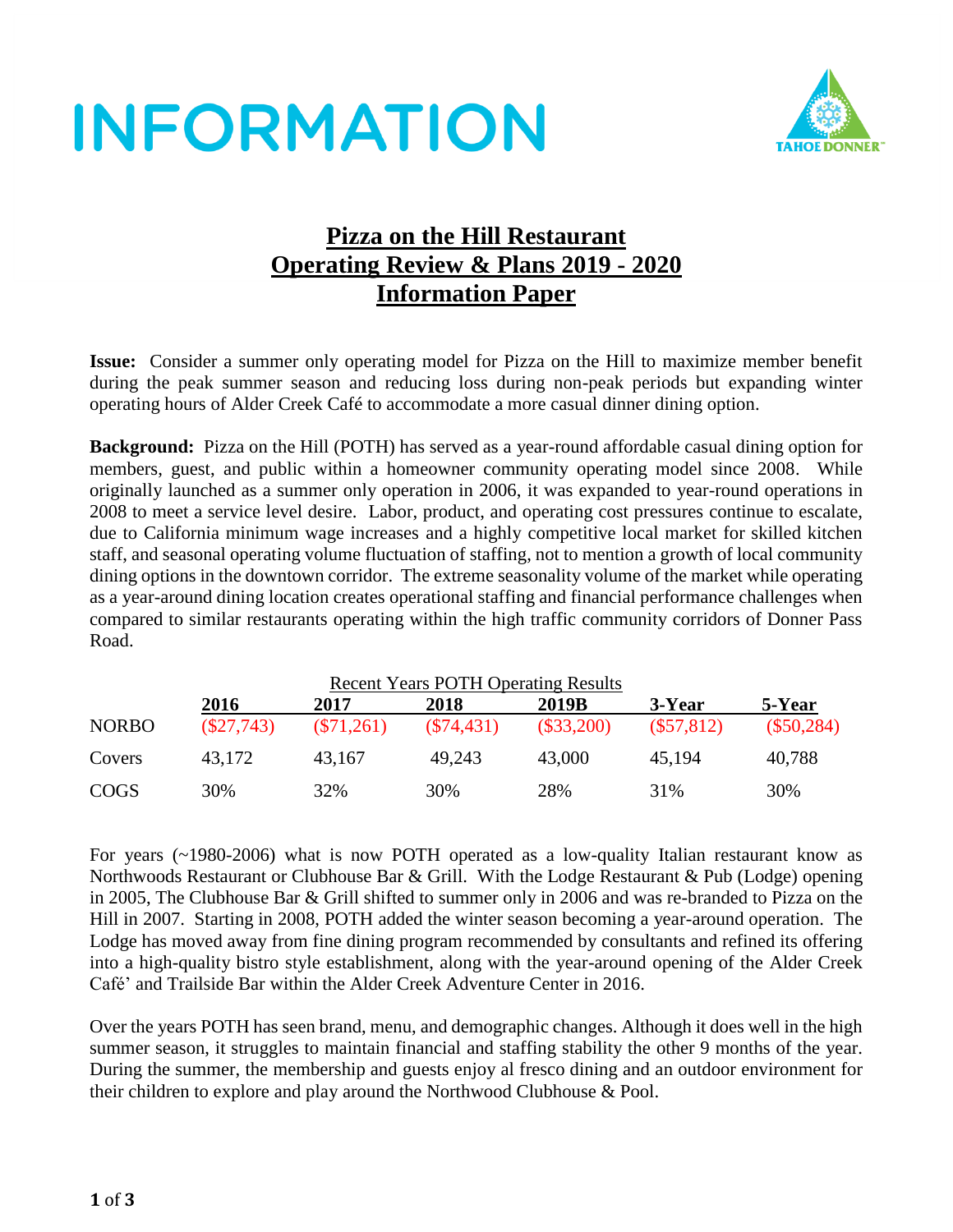# **INFORMATION**



### **Pizza on the Hill Restaurant Operating Review & Plans 2019 - 2020 Information Paper**

**Issue:** Consider a summer only operating model for Pizza on the Hill to maximize member benefit during the peak summer season and reducing loss during non-peak periods but expanding winter operating hours of Alder Creek Café to accommodate a more casual dinner dining option.

**Background:** Pizza on the Hill (POTH) has served as a year-round affordable casual dining option for members, guest, and public within a homeowner community operating model since 2008. While originally launched as a summer only operation in 2006, it was expanded to year-round operations in 2008 to meet a service level desire. Labor, product, and operating cost pressures continue to escalate, due to California minimum wage increases and a highly competitive local market for skilled kitchen staff, and seasonal operating volume fluctuation of staffing, not to mention a growth of local community dining options in the downtown corridor. The extreme seasonality volume of the market while operating as a year-around dining location creates operational staffing and financial performance challenges when compared to similar restaurants operating within the high traffic community corridors of Donner Pass Road.

| <b>Recent Years POTH Operating Results</b> |              |              |              |              |              |              |  |  |  |
|--------------------------------------------|--------------|--------------|--------------|--------------|--------------|--------------|--|--|--|
|                                            | 2016         | 2017         | 2018         | 2019B        | 3-Year       | 5-Year       |  |  |  |
| <b>NORBO</b>                               | $(\$27,743)$ | $(\$71,261)$ | $(\$74,431)$ | $(\$33,200)$ | $(\$57,812)$ | $(\$50,284)$ |  |  |  |
| Covers                                     | 43.172       | 43,167       | 49.243       | 43,000       | 45.194       | 40,788       |  |  |  |
| <b>COGS</b>                                | 30%          | 32%          | 30%          | 28%          | 31%          | 30%          |  |  |  |

For years (~1980-2006) what is now POTH operated as a low-quality Italian restaurant know as Northwoods Restaurant or Clubhouse Bar & Grill. With the Lodge Restaurant & Pub (Lodge) opening in 2005, The Clubhouse Bar & Grill shifted to summer only in 2006 and was re-branded to Pizza on the Hill in 2007. Starting in 2008, POTH added the winter season becoming a year-around operation. The Lodge has moved away from fine dining program recommended by consultants and refined its offering into a high-quality bistro style establishment, along with the year-around opening of the Alder Creek Café' and Trailside Bar within the Alder Creek Adventure Center in 2016.

Over the years POTH has seen brand, menu, and demographic changes. Although it does well in the high summer season, it struggles to maintain financial and staffing stability the other 9 months of the year. During the summer, the membership and guests enjoy al fresco dining and an outdoor environment for their children to explore and play around the Northwood Clubhouse & Pool.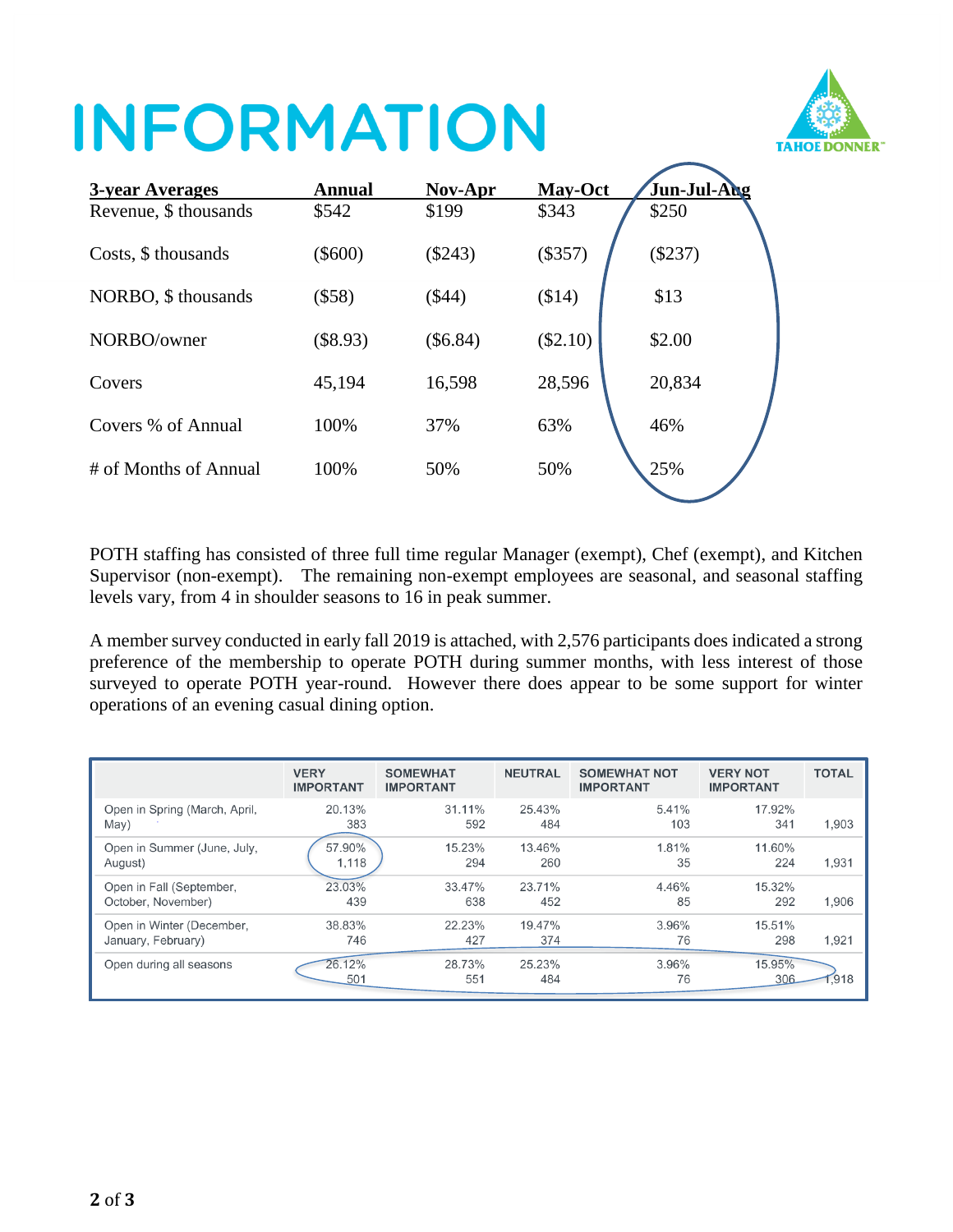# **INFORMATION**



| <b>3-year Averages</b> | <b>Annual</b> | Nov-Apr   | May-Oct  | Jun-Jul-Aug |
|------------------------|---------------|-----------|----------|-------------|
| Revenue, \$ thousands  | \$542         | \$199     | \$343    | \$250       |
| Costs, \$ thousands    | $(\$600)$     | $(\$243)$ | (\$357)  | $(\$237)$   |
| NORBO, \$ thousands    | $(\$58)$      | (\$44)    | (\$14)   | \$13        |
| NORBO/owner            | $(\$8.93)$    | (\$6.84)  | (\$2.10) | \$2.00      |
| Covers                 | 45,194        | 16,598    | 28,596   | 20,834      |
| Covers % of Annual     | 100%          | 37%       | 63%      | 46%         |
| # of Months of Annual  | 100%          | 50%       | 50%      | 25%         |

POTH staffing has consisted of three full time regular Manager (exempt), Chef (exempt), and Kitchen Supervisor (non-exempt). The remaining non-exempt employees are seasonal, and seasonal staffing levels vary, from 4 in shoulder seasons to 16 in peak summer.

A member survey conducted in early fall 2019 is attached, with 2,576 participants does indicated a strong preference of the membership to operate POTH during summer months, with less interest of those surveyed to operate POTH year-round. However there does appear to be some support for winter operations of an evening casual dining option.

|                               | <b>VERY</b><br><b>IMPORTANT</b> | <b>SOMEWHAT</b><br><b>IMPORTANT</b> | <b>NEUTRAL</b> | <b>SOMEWHAT NOT</b><br><b>IMPORTANT</b> | <b>VERY NOT</b><br><b>IMPORTANT</b> | <b>TOTAL</b> |
|-------------------------------|---------------------------------|-------------------------------------|----------------|-----------------------------------------|-------------------------------------|--------------|
| Open in Spring (March, April, | 20.13%                          | 31.11%                              | 25.43%         | 5.41%                                   | 17.92%                              | 1.903        |
| May)                          | 383                             | 592                                 | 484            | 103                                     | 341                                 |              |
| Open in Summer (June, July,   | 57.90%                          | 15.23%                              | 13.46%         | 1.81%                                   | 11.60%                              | 1,931        |
| August)                       | 1,118                           | 294                                 | 260            | 35                                      | 224                                 |              |
| Open in Fall (September,      | 23.03%                          | 33.47%                              | 23.71%         | 4.46%                                   | 15.32%                              | 1,906        |
| October, November)            | 439                             | 638                                 | 452            | 85                                      | 292                                 |              |
| Open in Winter (December,     | 38.83%                          | 22.23%                              | 19.47%         | 3.96%                                   | 15.51%                              | 1,921        |
| January, February)            | 746                             | 427                                 | 374            | 76                                      | 298                                 |              |
| Open during all seasons       | 26.12%<br>501                   | 28.73%<br>551                       | 25.23%<br>484  | 3.96%<br>76                             | 15.95%<br>306                       | .918         |